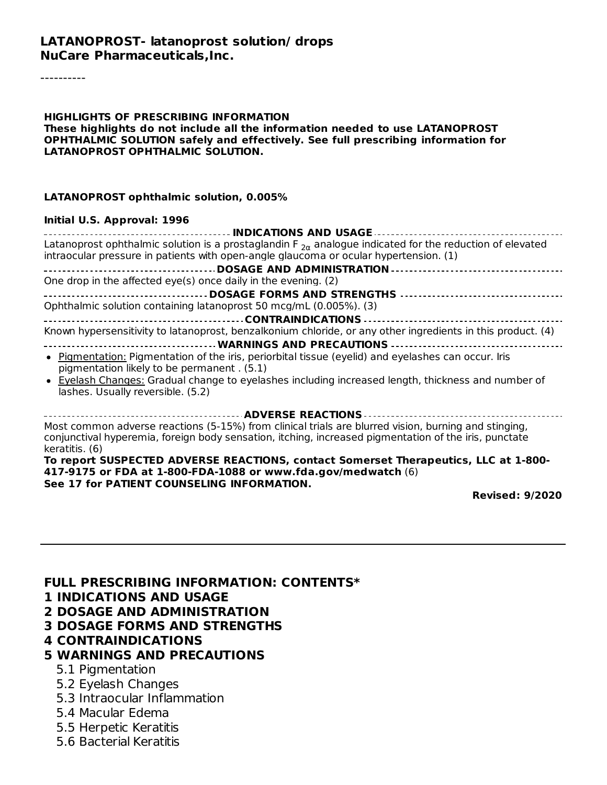#### **LATANOPROST- latanoprost solution/ drops NuCare Pharmaceuticals,Inc.**

----------

**HIGHLIGHTS OF PRESCRIBING INFORMATION These highlights do not include all the information needed to use LATANOPROST OPHTHALMIC SOLUTION safely and effectively. See full prescribing information for LATANOPROST OPHTHALMIC SOLUTION.**

#### **LATANOPROST ophthalmic solution, 0.005%**

#### **Initial U.S. Approval: 1996**

| <b>INDICATIONS AND USAGE</b>                                                                                                                                                                                                    |
|---------------------------------------------------------------------------------------------------------------------------------------------------------------------------------------------------------------------------------|
| Latanoprost ophthalmic solution is a prostaglandin F $_{2\alpha}$ analogue indicated for the reduction of elevated<br>intraocular pressure in patients with open-angle glaucoma or ocular hypertension. (1)                     |
| <b>DOSAGE AND ADMINISTRATION </b>                                                                                                                                                                                               |
| One drop in the affected eye(s) once daily in the evening. (2)                                                                                                                                                                  |
|                                                                                                                                                                                                                                 |
| Ophthalmic solution containing latanoprost 50 mcg/mL (0.005%). (3)                                                                                                                                                              |
|                                                                                                                                                                                                                                 |
| Known hypersensitivity to latanoprost, benzalkonium chloride, or any other ingredients in this product. (4)                                                                                                                     |
| <b>WARNINGS AND PRECAUTIONS</b>                                                                                                                                                                                                 |
| • Pigmentation: Pigmentation of the iris, periorbital tissue (eyelid) and eyelashes can occur. Iris<br>pigmentation likely to be permanent . (5.1)                                                                              |
| • Eyelash Changes: Gradual change to eyelashes including increased length, thickness and number of<br>lashes. Usually reversible. (5.2)                                                                                         |
| <b>ADVERSE REACTIONS </b>                                                                                                                                                                                                       |
| Most common adverse reactions (5-15%) from clinical trials are blurred vision, burning and stinging,<br>conjunctival hyperemia, foreign body sensation, itching, increased pigmentation of the iris, punctate<br>keratitis. (6) |
| To report SUSPECTED ADVERSE REACTIONS, contact Somerset Therapeutics, LLC at 1-800-<br>417-9175 or FDA at 1-800-FDA-1088 or www.fda.gov/medwatch (6)                                                                            |

**See 17 for PATIENT COUNSELING INFORMATION.**

**Revised: 9/2020**

| <b>FULL PRESCRIBING INFORMATION: CONTENTS*</b> |
|------------------------------------------------|
| <b>1 INDICATIONS AND USAGE</b>                 |
| <b>2 DOSAGE AND ADMINISTRATION</b>             |
| <b>3 DOSAGE FORMS AND STRENGTHS</b>            |
| <b>4 CONTRAINDICATIONS</b>                     |
| <b>5 WARNINGS AND PRECAUTIONS</b>              |
| 5.1 Pigmentation                               |
| 5.2 Eyelash Changes                            |
| 5.3 Intraocular Inflammation                   |

- 5.4 Macular Edema
- 5.5 Herpetic Keratitis
- 5.6 Bacterial Keratitis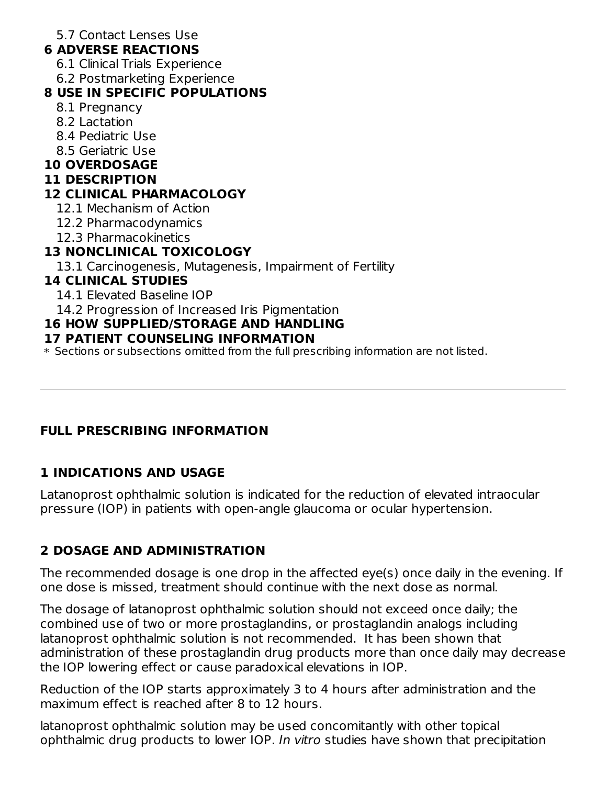5.7 Contact Lenses Use

#### **6 ADVERSE REACTIONS**

- 6.1 Clinical Trials Experience
- 6.2 Postmarketing Experience

## **8 USE IN SPECIFIC POPULATIONS**

- 8.1 Pregnancy
- 8.2 Lactation
- 8.4 Pediatric Use
- 8.5 Geriatric Use

## **10 OVERDOSAGE**

#### **11 DESCRIPTION**

## **12 CLINICAL PHARMACOLOGY**

- 12.1 Mechanism of Action
- 12.2 Pharmacodynamics
- 12.3 Pharmacokinetics

## **13 NONCLINICAL TOXICOLOGY**

13.1 Carcinogenesis, Mutagenesis, Impairment of Fertility

## **14 CLINICAL STUDIES**

- 14.1 Elevated Baseline IOP
- 14.2 Progression of Increased Iris Pigmentation

## **16 HOW SUPPLIED/STORAGE AND HANDLING**

## **17 PATIENT COUNSELING INFORMATION**

\* Sections or subsections omitted from the full prescribing information are not listed.

## **FULL PRESCRIBING INFORMATION**

## **1 INDICATIONS AND USAGE**

Latanoprost ophthalmic solution is indicated for the reduction of elevated intraocular pressure (IOP) in patients with open-angle glaucoma or ocular hypertension.

# **2 DOSAGE AND ADMINISTRATION**

The recommended dosage is one drop in the affected eye(s) once daily in the evening. If one dose is missed, treatment should continue with the next dose as normal.

The dosage of latanoprost ophthalmic solution should not exceed once daily; the combined use of two or more prostaglandins, or prostaglandin analogs including latanoprost ophthalmic solution is not recommended. It has been shown that administration of these prostaglandin drug products more than once daily may decrease the IOP lowering effect or cause paradoxical elevations in IOP.

Reduction of the IOP starts approximately 3 to 4 hours after administration and the maximum effect is reached after 8 to 12 hours.

latanoprost ophthalmic solution may be used concomitantly with other topical ophthalmic drug products to lower IOP. In vitro studies have shown that precipitation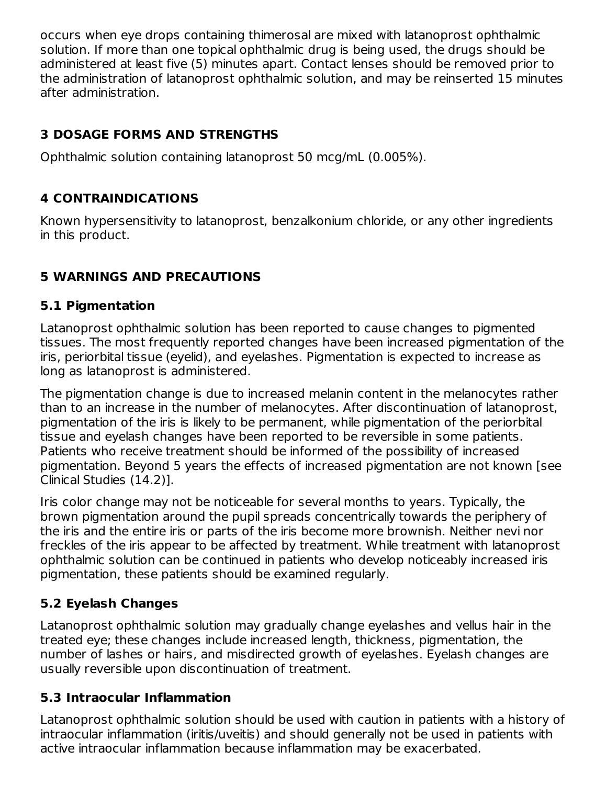occurs when eye drops containing thimerosal are mixed with latanoprost ophthalmic solution. If more than one topical ophthalmic drug is being used, the drugs should be administered at least five (5) minutes apart. Contact lenses should be removed prior to the administration of latanoprost ophthalmic solution, and may be reinserted 15 minutes after administration.

## **3 DOSAGE FORMS AND STRENGTHS**

Ophthalmic solution containing latanoprost 50 mcg/mL (0.005%).

## **4 CONTRAINDICATIONS**

Known hypersensitivity to latanoprost, benzalkonium chloride, or any other ingredients in this product.

## **5 WARNINGS AND PRECAUTIONS**

### **5.1 Pigmentation**

Latanoprost ophthalmic solution has been reported to cause changes to pigmented tissues. The most frequently reported changes have been increased pigmentation of the iris, periorbital tissue (eyelid), and eyelashes. Pigmentation is expected to increase as long as latanoprost is administered.

The pigmentation change is due to increased melanin content in the melanocytes rather than to an increase in the number of melanocytes. After discontinuation of latanoprost, pigmentation of the iris is likely to be permanent, while pigmentation of the periorbital tissue and eyelash changes have been reported to be reversible in some patients. Patients who receive treatment should be informed of the possibility of increased pigmentation. Beyond 5 years the effects of increased pigmentation are not known [see Clinical Studies (14.2)].

Iris color change may not be noticeable for several months to years. Typically, the brown pigmentation around the pupil spreads concentrically towards the periphery of the iris and the entire iris or parts of the iris become more brownish. Neither nevi nor freckles of the iris appear to be affected by treatment. While treatment with latanoprost ophthalmic solution can be continued in patients who develop noticeably increased iris pigmentation, these patients should be examined regularly.

## **5.2 Eyelash Changes**

Latanoprost ophthalmic solution may gradually change eyelashes and vellus hair in the treated eye; these changes include increased length, thickness, pigmentation, the number of lashes or hairs, and misdirected growth of eyelashes. Eyelash changes are usually reversible upon discontinuation of treatment.

## **5.3 Intraocular Inflammation**

Latanoprost ophthalmic solution should be used with caution in patients with a history of intraocular inflammation (iritis/uveitis) and should generally not be used in patients with active intraocular inflammation because inflammation may be exacerbated.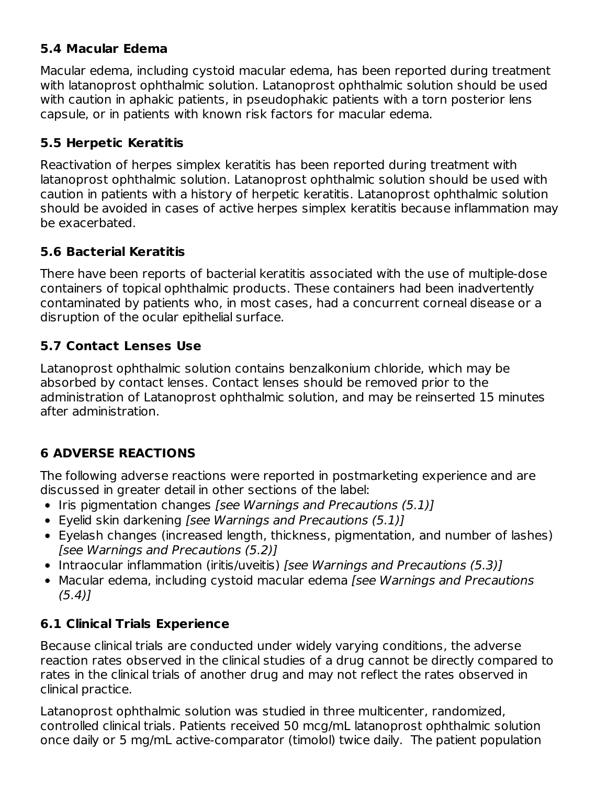### **5.4 Macular Edema**

Macular edema, including cystoid macular edema, has been reported during treatment with latanoprost ophthalmic solution. Latanoprost ophthalmic solution should be used with caution in aphakic patients, in pseudophakic patients with a torn posterior lens capsule, or in patients with known risk factors for macular edema.

### **5.5 Herpetic Keratitis**

Reactivation of herpes simplex keratitis has been reported during treatment with latanoprost ophthalmic solution. Latanoprost ophthalmic solution should be used with caution in patients with a history of herpetic keratitis. Latanoprost ophthalmic solution should be avoided in cases of active herpes simplex keratitis because inflammation may be exacerbated.

#### **5.6 Bacterial Keratitis**

There have been reports of bacterial keratitis associated with the use of multiple-dose containers of topical ophthalmic products. These containers had been inadvertently contaminated by patients who, in most cases, had a concurrent corneal disease or a disruption of the ocular epithelial surface.

#### **5.7 Contact Lenses Use**

Latanoprost ophthalmic solution contains benzalkonium chloride, which may be absorbed by contact lenses. Contact lenses should be removed prior to the administration of Latanoprost ophthalmic solution, and may be reinserted 15 minutes after administration.

## **6 ADVERSE REACTIONS**

The following adverse reactions were reported in postmarketing experience and are discussed in greater detail in other sections of the label:

- $\bullet$  Iris pigmentation changes [see Warnings and Precautions (5.1)]
- Eyelid skin darkening [see Warnings and Precautions (5.1)]
- Eyelash changes (increased length, thickness, pigmentation, and number of lashes) [see Warnings and Precautions (5.2)]
- Intraocular inflammation (iritis/uveitis) [see Warnings and Precautions (5.3)]
- Macular edema, including cystoid macular edema [see Warnings and Precautions  $(5.4)$ ]

### **6.1 Clinical Trials Experience**

Because clinical trials are conducted under widely varying conditions, the adverse reaction rates observed in the clinical studies of a drug cannot be directly compared to rates in the clinical trials of another drug and may not reflect the rates observed in clinical practice.

Latanoprost ophthalmic solution was studied in three multicenter, randomized, controlled clinical trials. Patients received 50 mcg/mL latanoprost ophthalmic solution once daily or 5 mg/mL active-comparator (timolol) twice daily. The patient population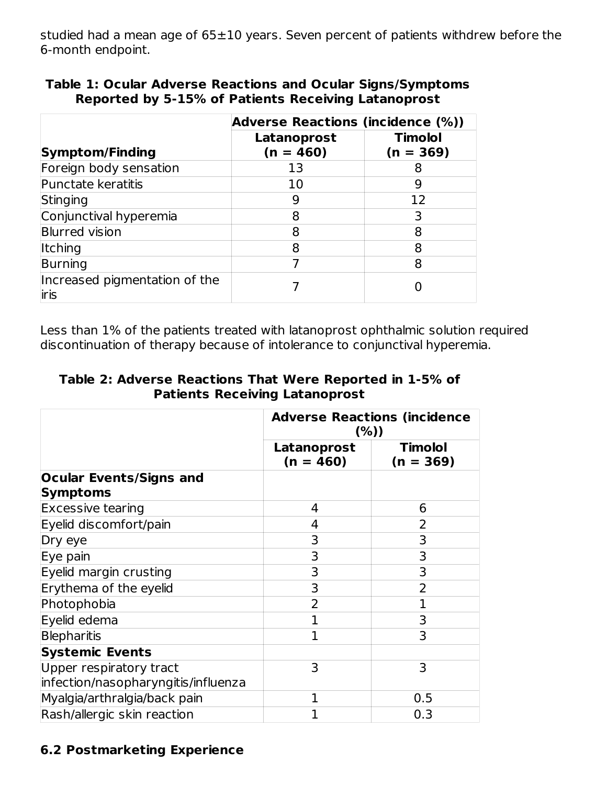studied had a mean age of  $65\pm10$  years. Seven percent of patients withdrew before the 6-month endpoint.

|                                        | <b>Adverse Reactions (incidence (%))</b> |                               |  |
|----------------------------------------|------------------------------------------|-------------------------------|--|
| <b>Symptom/Finding</b>                 | Latanoprost<br>$(n = 460)$               | <b>Timolol</b><br>$(n = 369)$ |  |
| Foreign body sensation                 | 13                                       | 8                             |  |
| Punctate keratitis                     | 10                                       | 9                             |  |
| Stinging                               | 9                                        | 12                            |  |
| Conjunctival hyperemia                 | 8                                        | 3                             |  |
| <b>Blurred vision</b>                  | 8                                        | 8                             |  |
| <b>Itching</b>                         | 8                                        | 8                             |  |
| Burning                                |                                          | 8                             |  |
| Increased pigmentation of the<br>liris |                                          |                               |  |

| <b>Table 1: Ocular Adverse Reactions and Ocular Signs/Symptoms</b> |  |
|--------------------------------------------------------------------|--|
| Reported by 5-15% of Patients Receiving Latanoprost                |  |

Less than 1% of the patients treated with latanoprost ophthalmic solution required discontinuation of therapy because of intolerance to conjunctival hyperemia.

**Table 2: Adverse Reactions That Were Reported in 1-5% of Patients Receiving Latanoprost**

|                                                   | <b>Adverse Reactions (incidence</b><br>$(\%)$ |                               |  |
|---------------------------------------------------|-----------------------------------------------|-------------------------------|--|
|                                                   | Latanoprost<br>$(n = 460)$                    | <b>Timolol</b><br>$(n = 369)$ |  |
| <b>Ocular Events/Signs and</b><br><b>Symptoms</b> |                                               |                               |  |
| <b>Excessive tearing</b>                          | 4                                             | 6                             |  |
| Eyelid discomfort/pain                            | 4                                             | 2                             |  |
| Dry eye                                           | 3                                             | 3                             |  |
| Eye pain                                          | 3                                             | 3                             |  |
| Eyelid margin crusting                            | 3                                             | 3                             |  |
| Erythema of the eyelid                            | 3                                             | $\overline{2}$                |  |
| Photophobia                                       | $\overline{2}$                                | $\mathbf 1$                   |  |
| Eyelid edema                                      | 1                                             | 3                             |  |
| Blepharitis                                       | $\mathbf{1}$                                  | 3                             |  |
| <b>Systemic Events</b>                            |                                               |                               |  |
| Upper respiratory tract                           | 3                                             | 3                             |  |
| infection/nasopharyngitis/influenza               |                                               |                               |  |
| Myalgia/arthralgia/back pain                      | 1                                             | 0.5                           |  |
| Rash/allergic skin reaction                       | 1                                             | 0.3                           |  |

### **6.2 Postmarketing Experience**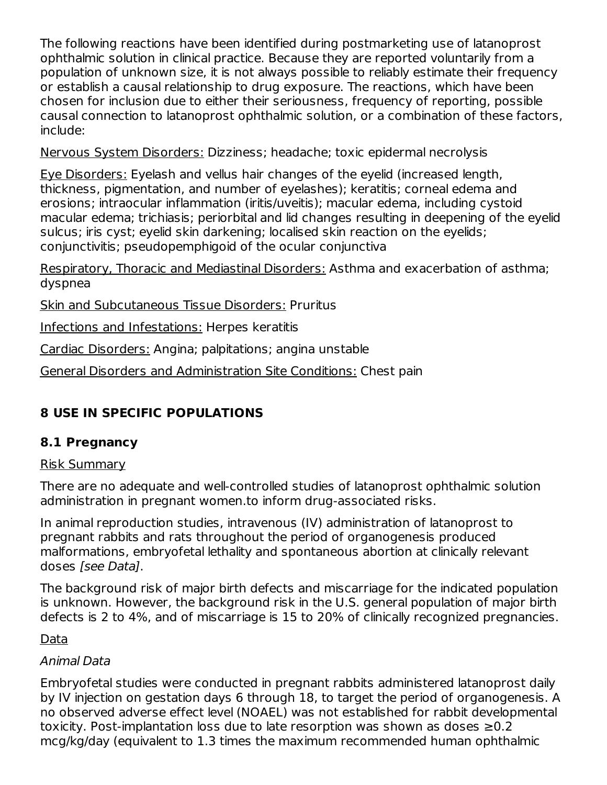The following reactions have been identified during postmarketing use of latanoprost ophthalmic solution in clinical practice. Because they are reported voluntarily from a population of unknown size, it is not always possible to reliably estimate their frequency or establish a causal relationship to drug exposure. The reactions, which have been chosen for inclusion due to either their seriousness, frequency of reporting, possible causal connection to latanoprost ophthalmic solution, or a combination of these factors, include:

Nervous System Disorders: Dizziness; headache; toxic epidermal necrolysis

Eye Disorders: Eyelash and vellus hair changes of the eyelid (increased length, thickness, pigmentation, and number of eyelashes); keratitis; corneal edema and erosions; intraocular inflammation (iritis/uveitis); macular edema, including cystoid macular edema; trichiasis; periorbital and lid changes resulting in deepening of the eyelid sulcus; iris cyst; eyelid skin darkening; localised skin reaction on the eyelids; conjunctivitis; pseudopemphigoid of the ocular conjunctiva

Respiratory, Thoracic and Mediastinal Disorders: Asthma and exacerbation of asthma; dyspnea

Skin and Subcutaneous Tissue Disorders: Pruritus

Infections and Infestations: Herpes keratitis

Cardiac Disorders: Angina; palpitations; angina unstable

General Disorders and Administration Site Conditions: Chest pain

# **8 USE IN SPECIFIC POPULATIONS**

### **8.1 Pregnancy**

#### Risk Summary

There are no adequate and well-controlled studies of latanoprost ophthalmic solution administration in pregnant women.to inform drug-associated risks.

In animal reproduction studies, intravenous (IV) administration of latanoprost to pregnant rabbits and rats throughout the period of organogenesis produced malformations, embryofetal lethality and spontaneous abortion at clinically relevant doses [see Data].

The background risk of major birth defects and miscarriage for the indicated population is unknown. However, the background risk in the U.S. general population of major birth defects is 2 to 4%, and of miscarriage is 15 to 20% of clinically recognized pregnancies.

### Data

## Animal Data

Embryofetal studies were conducted in pregnant rabbits administered latanoprost daily by IV injection on gestation days 6 through 18, to target the period of organogenesis. A no observed adverse effect level (NOAEL) was not established for rabbit developmental toxicity. Post-implantation loss due to late resorption was shown as doses ≥0.2 mcg/kg/day (equivalent to 1.3 times the maximum recommended human ophthalmic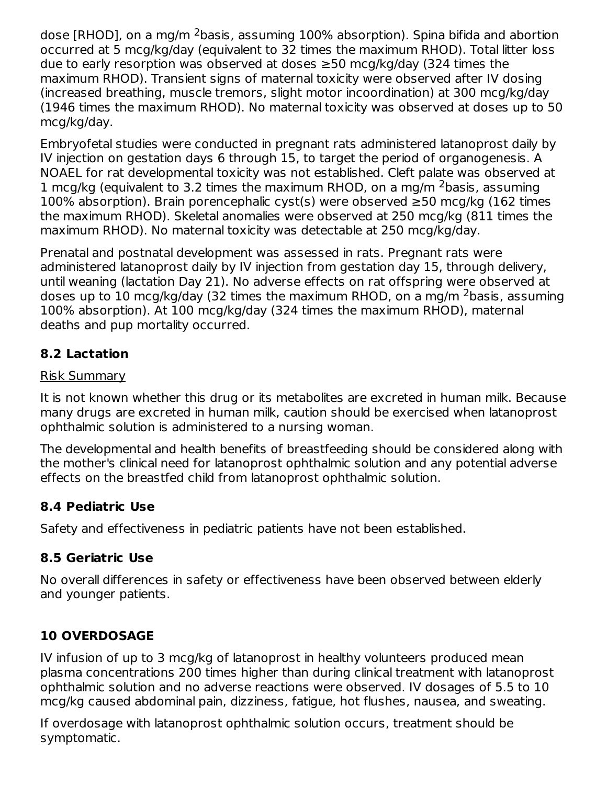dose [RHOD], on a mg/m <sup>2</sup>basis, assuming 100% absorption). Spina bifida and abortion occurred at 5 mcg/kg/day (equivalent to 32 times the maximum RHOD). Total litter loss due to early resorption was observed at doses ≥50 mcg/kg/day (324 times the maximum RHOD). Transient signs of maternal toxicity were observed after IV dosing (increased breathing, muscle tremors, slight motor incoordination) at 300 mcg/kg/day (1946 times the maximum RHOD). No maternal toxicity was observed at doses up to 50 mcg/kg/day.

Embryofetal studies were conducted in pregnant rats administered latanoprost daily by IV injection on gestation days 6 through 15, to target the period of organogenesis. A NOAEL for rat developmental toxicity was not established. Cleft palate was observed at 1 mcg/kg (equivalent to 3.2 times the maximum RHOD, on a mg/m  $^2$ basis, assuming 100% absorption). Brain porencephalic cyst(s) were observed ≥50 mcg/kg (162 times the maximum RHOD). Skeletal anomalies were observed at 250 mcg/kg (811 times the maximum RHOD). No maternal toxicity was detectable at 250 mcg/kg/day.

Prenatal and postnatal development was assessed in rats. Pregnant rats were administered latanoprost daily by IV injection from gestation day 15, through delivery, until weaning (lactation Day 21). No adverse effects on rat offspring were observed at doses up to 10 mcg/kg/day (32 times the maximum RHOD, on a mg/m <sup>2</sup>basis, assuming 100% absorption). At 100 mcg/kg/day (324 times the maximum RHOD), maternal deaths and pup mortality occurred.

### **8.2 Lactation**

#### Risk Summary

It is not known whether this drug or its metabolites are excreted in human milk. Because many drugs are excreted in human milk, caution should be exercised when latanoprost ophthalmic solution is administered to a nursing woman.

The developmental and health benefits of breastfeeding should be considered along with the mother's clinical need for latanoprost ophthalmic solution and any potential adverse effects on the breastfed child from latanoprost ophthalmic solution.

#### **8.4 Pediatric Use**

Safety and effectiveness in pediatric patients have not been established.

### **8.5 Geriatric Use**

No overall differences in safety or effectiveness have been observed between elderly and younger patients.

## **10 OVERDOSAGE**

IV infusion of up to 3 mcg/kg of latanoprost in healthy volunteers produced mean plasma concentrations 200 times higher than during clinical treatment with latanoprost ophthalmic solution and no adverse reactions were observed. IV dosages of 5.5 to 10 mcg/kg caused abdominal pain, dizziness, fatigue, hot flushes, nausea, and sweating.

If overdosage with latanoprost ophthalmic solution occurs, treatment should be symptomatic.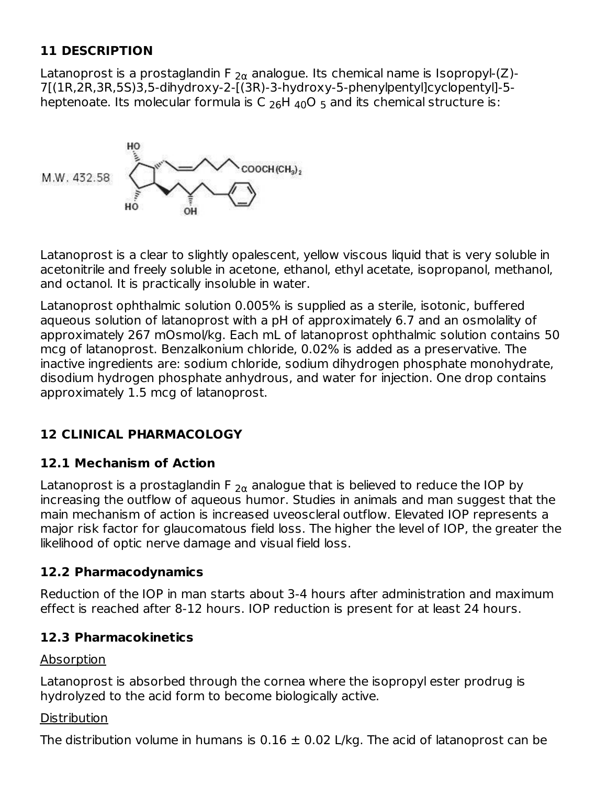### **11 DESCRIPTION**

Latanoprost is a prostaglandin F  $_{2\alpha}$  analogue. Its chemical name is Isopropyl-(Z)-7[(1R,2R,3R,5S)3,5-dihydroxy-2-[(3R)-3-hydroxy-5-phenylpentyl]cyclopentyl]-5 heptenoate. Its molecular formula is C  $_{26}$ H  $_{40}$ O  $_{5}$  and its chemical structure is:

COOCH (CH<sub>3</sub>)<sub>2</sub> M.W. 432.58

Latanoprost is a clear to slightly opalescent, yellow viscous liquid that is very soluble in acetonitrile and freely soluble in acetone, ethanol, ethyl acetate, isopropanol, methanol, and octanol. It is practically insoluble in water.

Latanoprost ophthalmic solution 0.005% is supplied as a sterile, isotonic, buffered aqueous solution of latanoprost with a pH of approximately 6.7 and an osmolality of approximately 267 mOsmol/kg. Each mL of latanoprost ophthalmic solution contains 50 mcg of latanoprost. Benzalkonium chloride, 0.02% is added as a preservative. The inactive ingredients are: sodium chloride, sodium dihydrogen phosphate monohydrate, disodium hydrogen phosphate anhydrous, and water for injection. One drop contains approximately 1.5 mcg of latanoprost.

## **12 CLINICAL PHARMACOLOGY**

### **12.1 Mechanism of Action**

Latanoprost is a prostaglandin F  $_{2\alpha}$  analogue that is believed to reduce the IOP by increasing the outflow of aqueous humor. Studies in animals and man suggest that the main mechanism of action is increased uveoscleral outflow. Elevated IOP represents a major risk factor for glaucomatous field loss. The higher the level of IOP, the greater the likelihood of optic nerve damage and visual field loss.

### **12.2 Pharmacodynamics**

Reduction of the IOP in man starts about 3-4 hours after administration and maximum effect is reached after 8-12 hours. IOP reduction is present for at least 24 hours.

### **12.3 Pharmacokinetics**

### Absorption

Latanoprost is absorbed through the cornea where the isopropyl ester prodrug is hydrolyzed to the acid form to become biologically active.

### **Distribution**

The distribution volume in humans is  $0.16 \pm 0.02$  L/kg. The acid of latanoprost can be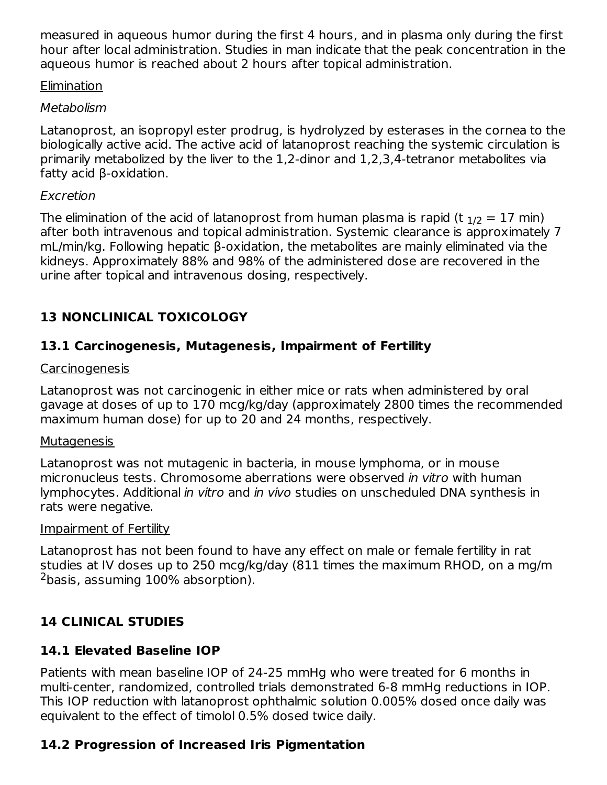measured in aqueous humor during the first 4 hours, and in plasma only during the first hour after local administration. Studies in man indicate that the peak concentration in the aqueous humor is reached about 2 hours after topical administration.

#### Elimination

#### Metabolism

Latanoprost, an isopropyl ester prodrug, is hydrolyzed by esterases in the cornea to the biologically active acid. The active acid of latanoprost reaching the systemic circulation is primarily metabolized by the liver to the 1,2-dinor and 1,2,3,4-tetranor metabolites via fatty acid β-oxidation.

#### Excretion

The elimination of the acid of latanoprost from human plasma is rapid (t  $_{\rm 1/2}$  = 17 min) after both intravenous and topical administration. Systemic clearance is approximately 7 mL/min/kg. Following hepatic β-oxidation, the metabolites are mainly eliminated via the kidneys. Approximately 88% and 98% of the administered dose are recovered in the urine after topical and intravenous dosing, respectively.

## **13 NONCLINICAL TOXICOLOGY**

### **13.1 Carcinogenesis, Mutagenesis, Impairment of Fertility**

#### Carcinogenesis

Latanoprost was not carcinogenic in either mice or rats when administered by oral gavage at doses of up to 170 mcg/kg/day (approximately 2800 times the recommended maximum human dose) for up to 20 and 24 months, respectively.

#### **Mutagenesis**

Latanoprost was not mutagenic in bacteria, in mouse lymphoma, or in mouse micronucleus tests. Chromosome aberrations were observed in vitro with human lymphocytes. Additional in vitro and in vivo studies on unscheduled DNA synthesis in rats were negative.

#### Impairment of Fertility

Latanoprost has not been found to have any effect on male or female fertility in rat studies at IV doses up to 250 mcg/kg/day (811 times the maximum RHOD, on a mg/m  $2$ basis, assuming  $100\%$  absorption).

## **14 CLINICAL STUDIES**

## **14.1 Elevated Baseline IOP**

Patients with mean baseline IOP of 24-25 mmHg who were treated for 6 months in multi-center, randomized, controlled trials demonstrated 6-8 mmHg reductions in IOP. This IOP reduction with latanoprost ophthalmic solution 0.005% dosed once daily was equivalent to the effect of timolol 0.5% dosed twice daily.

## **14.2 Progression of Increased Iris Pigmentation**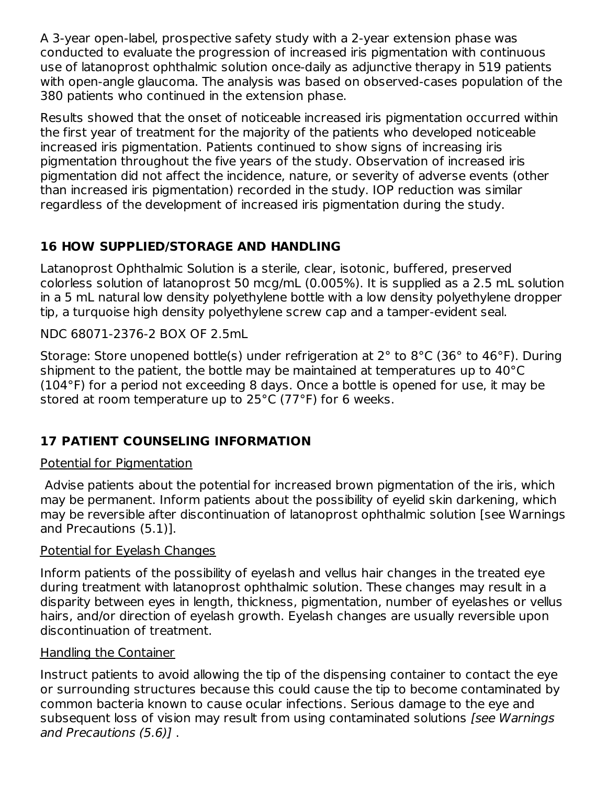A 3-year open-label, prospective safety study with a 2-year extension phase was conducted to evaluate the progression of increased iris pigmentation with continuous use of latanoprost ophthalmic solution once-daily as adjunctive therapy in 519 patients with open-angle glaucoma. The analysis was based on observed-cases population of the 380 patients who continued in the extension phase.

Results showed that the onset of noticeable increased iris pigmentation occurred within the first year of treatment for the majority of the patients who developed noticeable increased iris pigmentation. Patients continued to show signs of increasing iris pigmentation throughout the five years of the study. Observation of increased iris pigmentation did not affect the incidence, nature, or severity of adverse events (other than increased iris pigmentation) recorded in the study. IOP reduction was similar regardless of the development of increased iris pigmentation during the study.

## **16 HOW SUPPLIED/STORAGE AND HANDLING**

Latanoprost Ophthalmic Solution is a sterile, clear, isotonic, buffered, preserved colorless solution of latanoprost 50 mcg/mL (0.005%). It is supplied as a 2.5 mL solution in a 5 mL natural low density polyethylene bottle with a low density polyethylene dropper tip, a turquoise high density polyethylene screw cap and a tamper-evident seal.

NDC 68071-2376-2 BOX OF 2.5mL

Storage: Store unopened bottle(s) under refrigeration at 2° to 8°C (36° to 46°F). During shipment to the patient, the bottle may be maintained at temperatures up to 40°C (104°F) for a period not exceeding 8 days. Once a bottle is opened for use, it may be stored at room temperature up to 25°C (77°F) for 6 weeks.

## **17 PATIENT COUNSELING INFORMATION**

### Potential for Pigmentation

Advise patients about the potential for increased brown pigmentation of the iris, which may be permanent. Inform patients about the possibility of eyelid skin darkening, which may be reversible after discontinuation of latanoprost ophthalmic solution [see Warnings and Precautions (5.1)].

### Potential for Eyelash Changes

Inform patients of the possibility of eyelash and vellus hair changes in the treated eye during treatment with latanoprost ophthalmic solution. These changes may result in a disparity between eyes in length, thickness, pigmentation, number of eyelashes or vellus hairs, and/or direction of eyelash growth. Eyelash changes are usually reversible upon discontinuation of treatment.

### Handling the Container

Instruct patients to avoid allowing the tip of the dispensing container to contact the eye or surrounding structures because this could cause the tip to become contaminated by common bacteria known to cause ocular infections. Serious damage to the eye and subsequent loss of vision may result from using contaminated solutions [see Warnings and Precautions (5.6)] .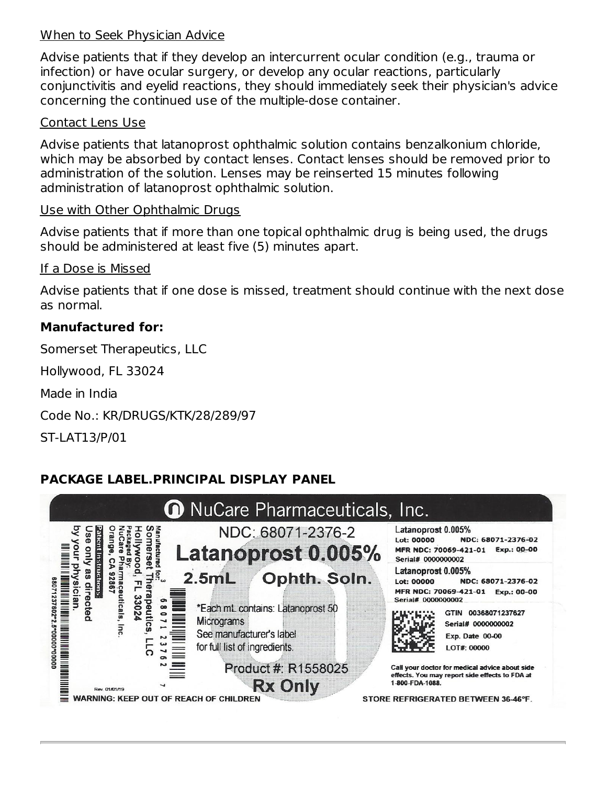#### When to Seek Physician Advice

Advise patients that if they develop an intercurrent ocular condition (e.g., trauma or infection) or have ocular surgery, or develop any ocular reactions, particularly conjunctivitis and eyelid reactions, they should immediately seek their physician's advice concerning the continued use of the multiple-dose container.

#### Contact Lens Use

Advise patients that latanoprost ophthalmic solution contains benzalkonium chloride, which may be absorbed by contact lenses. Contact lenses should be removed prior to administration of the solution. Lenses may be reinserted 15 minutes following administration of latanoprost ophthalmic solution.

#### Use with Other Ophthalmic Drugs

Advise patients that if more than one topical ophthalmic drug is being used, the drugs should be administered at least five (5) minutes apart.

#### If a Dose is Missed

Advise patients that if one dose is missed, treatment should continue with the next dose as normal.

#### **Manufactured for:**

Somerset Therapeutics, LLC

Hollywood, FL 33024

Made in India

Code No.: KR/DRUGS/KTK/28/289/97

ST-LAT13/P/01

### **PACKAGE LABEL.PRINCIPAL DISPLAY PANEL**

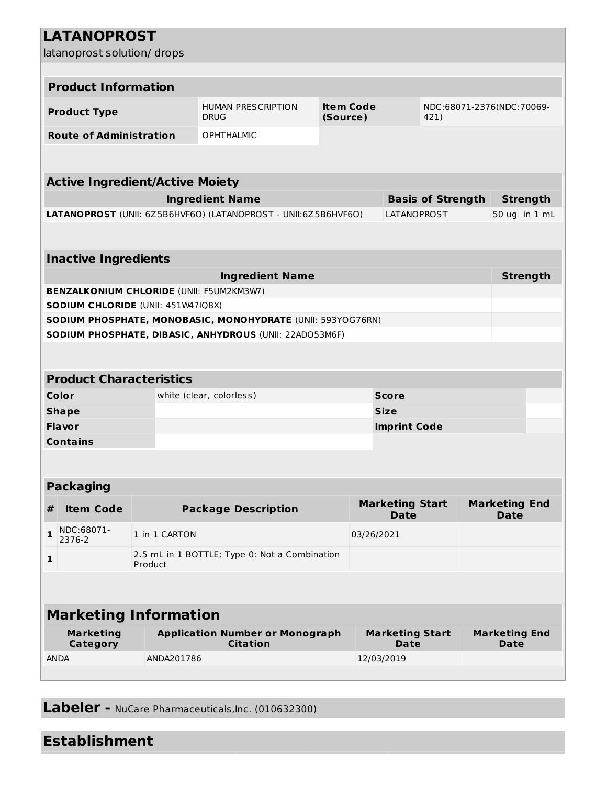## **LATANOPROST**

latanoprost solution/ drops

| iatanoprost solution, urops                                                   |                                                 |                                                             |                              |                                       |                          |                                     |
|-------------------------------------------------------------------------------|-------------------------------------------------|-------------------------------------------------------------|------------------------------|---------------------------------------|--------------------------|-------------------------------------|
| <b>Product Information</b>                                                    |                                                 |                                                             |                              |                                       |                          |                                     |
|                                                                               |                                                 |                                                             |                              |                                       |                          |                                     |
| <b>Product Type</b>                                                           |                                                 | <b>HUMAN PRESCRIPTION</b><br><b>DRUG</b>                    | <b>Item Code</b><br>(Source) |                                       | 421)                     | NDC:68071-2376(NDC:70069-           |
| <b>Route of Administration</b>                                                |                                                 | <b>OPHTHALMIC</b>                                           |                              |                                       |                          |                                     |
|                                                                               |                                                 |                                                             |                              |                                       |                          |                                     |
| <b>Active Ingredient/Active Moiety</b>                                        |                                                 |                                                             |                              |                                       |                          |                                     |
|                                                                               |                                                 | <b>Ingredient Name</b>                                      |                              |                                       | <b>Basis of Strength</b> | <b>Strength</b>                     |
| LATANOPROST (UNII: 6Z5B6HVF6O) (LATANOPROST - UNII:6Z5B6HVF6O)<br>LATANOPROST |                                                 |                                                             |                              |                                       | 50 ug in 1 mL            |                                     |
| <b>Inactive Ingredients</b>                                                   |                                                 |                                                             |                              |                                       |                          |                                     |
|                                                                               |                                                 | <b>Ingredient Name</b>                                      |                              |                                       |                          | <b>Strength</b>                     |
|                                                                               | <b>BENZALKONIUM CHLORIDE (UNII: F5UM2KM3W7)</b> |                                                             |                              |                                       |                          |                                     |
| SODIUM CHLORIDE (UNII: 451W47IQ8X)                                            |                                                 |                                                             |                              |                                       |                          |                                     |
|                                                                               |                                                 | SODIUM PHOSPHATE, MONOBASIC, MONOHYDRATE (UNII: 593YOG76RN) |                              |                                       |                          |                                     |
|                                                                               |                                                 | SODIUM PHOSPHATE, DIBASIC, ANHYDROUS (UNII: 22AD053M6F)     |                              |                                       |                          |                                     |
|                                                                               |                                                 |                                                             |                              |                                       |                          |                                     |
| <b>Product Characteristics</b>                                                |                                                 |                                                             |                              |                                       |                          |                                     |
| Color                                                                         | white (clear, colorless)<br><b>Score</b>        |                                                             |                              |                                       |                          |                                     |
| <b>Shape</b>                                                                  |                                                 |                                                             |                              | <b>Size</b>                           |                          |                                     |
| <b>Flavor</b>                                                                 |                                                 |                                                             |                              | <b>Imprint Code</b>                   |                          |                                     |
| <b>Contains</b>                                                               |                                                 |                                                             |                              |                                       |                          |                                     |
|                                                                               |                                                 |                                                             |                              |                                       |                          |                                     |
| <b>Packaging</b>                                                              |                                                 |                                                             |                              |                                       |                          |                                     |
| <b>Item Code</b><br>#                                                         |                                                 | <b>Package Description</b>                                  |                              | <b>Marketing Start</b><br><b>Date</b> |                          | <b>Marketing End</b><br><b>Date</b> |
| NDC:68071-<br>$\mathbf 1$<br>2376-2                                           | 1 in 1 CARTON                                   |                                                             |                              | 03/26/2021                            |                          |                                     |
| $\mathbf{1}$                                                                  | Product                                         | 2.5 mL in 1 BOTTLE; Type 0: Not a Combination               |                              |                                       |                          |                                     |
|                                                                               |                                                 |                                                             |                              |                                       |                          |                                     |
| <b>Marketing Information</b>                                                  |                                                 |                                                             |                              |                                       |                          |                                     |
| <b>Marketing</b><br>Category                                                  |                                                 | <b>Application Number or Monograph</b><br><b>Citation</b>   |                              | <b>Marketing Start</b><br><b>Date</b> |                          | <b>Marketing End</b><br><b>Date</b> |
| <b>ANDA</b>                                                                   | ANDA201786                                      |                                                             |                              | 12/03/2019                            |                          |                                     |
|                                                                               |                                                 |                                                             |                              |                                       |                          |                                     |

**Labeler -** NuCare Pharmaceuticals,Inc. (010632300)

## **Establishment**